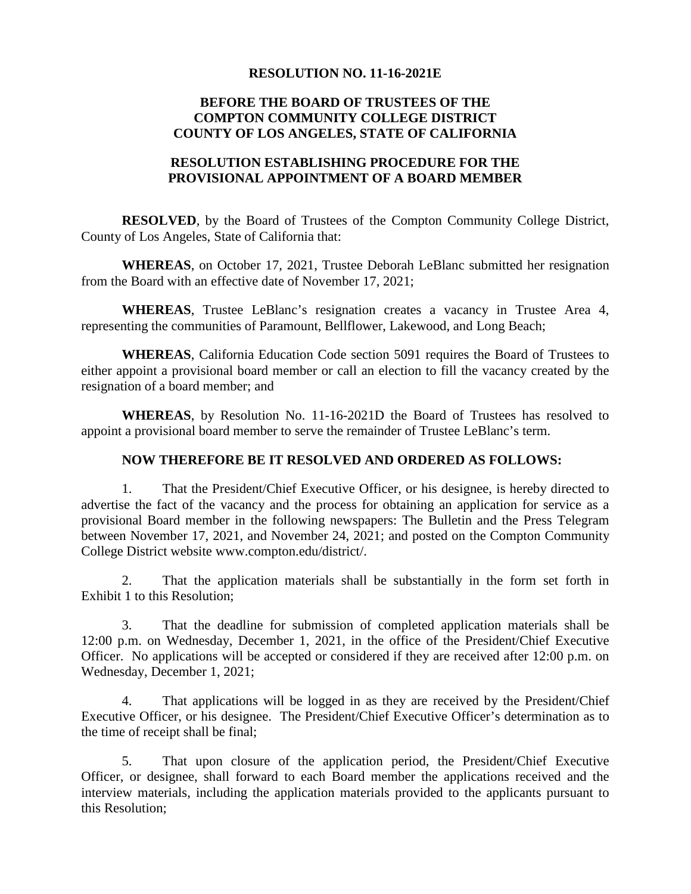## **RESOLUTION NO. 11-16-2021E**

## **BEFORE THE BOARD OF TRUSTEES OF THE COMPTON COMMUNITY COLLEGE DISTRICT COUNTY OF LOS ANGELES, STATE OF CALIFORNIA**

## **RESOLUTION ESTABLISHING PROCEDURE FOR THE PROVISIONAL APPOINTMENT OF A BOARD MEMBER**

**RESOLVED**, by the Board of Trustees of the Compton Community College District, County of Los Angeles, State of California that:

**WHEREAS**, on October 17, 2021, Trustee Deborah LeBlanc submitted her resignation from the Board with an effective date of November 17, 2021;

**WHEREAS**, Trustee LeBlanc's resignation creates a vacancy in Trustee Area 4, representing the communities of Paramount, Bellflower, Lakewood, and Long Beach;

**WHEREAS**, California Education Code section 5091 requires the Board of Trustees to either appoint a provisional board member or call an election to fill the vacancy created by the resignation of a board member; and

**WHEREAS**, by Resolution No. 11-16-2021D the Board of Trustees has resolved to appoint a provisional board member to serve the remainder of Trustee LeBlanc's term.

## **NOW THEREFORE BE IT RESOLVED AND ORDERED AS FOLLOWS:**

1. That the President/Chief Executive Officer, or his designee, is hereby directed to advertise the fact of the vacancy and the process for obtaining an application for service as a provisional Board member in the following newspapers: The Bulletin and the Press Telegram between November 17, 2021, and November 24, 2021; and posted on the Compton Community College District website www.compton.edu/district/.

2. That the application materials shall be substantially in the form set forth in Exhibit 1 to this Resolution;

3. That the deadline for submission of completed application materials shall be 12:00 p.m. on Wednesday, December 1, 2021, in the office of the President/Chief Executive Officer. No applications will be accepted or considered if they are received after 12:00 p.m. on Wednesday, December 1, 2021;

4. That applications will be logged in as they are received by the President/Chief Executive Officer, or his designee. The President/Chief Executive Officer's determination as to the time of receipt shall be final;

5. That upon closure of the application period, the President/Chief Executive Officer, or designee, shall forward to each Board member the applications received and the interview materials, including the application materials provided to the applicants pursuant to this Resolution;